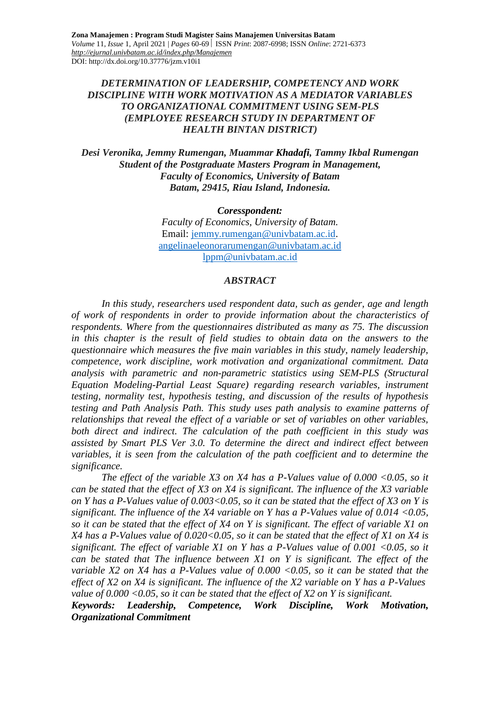### *DETERMINATION OF LEADERSHIP, COMPETENCY AND WORK DISCIPLINE WITH WORK MOTIVATION AS A MEDIATOR VARIABLES TO ORGANIZATIONAL COMMITMENT USING SEM-PLS (EMPLOYEE RESEARCH STUDY IN DEPARTMENT OF HEALTH BINTAN DISTRICT)*

*Desi Veronika, Jemmy Rumengan, Muammar Khadafi, Tammy Ikbal Rumengan Student of the Postgraduate Masters Program in Management, Faculty of Economics, University of Batam Batam, 29415, Riau Island, Indonesia.*

*Coresspondent:*

*Faculty of Economics, University of Batam.* Email: [jemmy.rumengan@univbatam.ac.id.](mailto:jemmy.rumengan@univbatam.ac.id) [angelinaeleonorarumengan@univbatam.ac.id](mailto:angelinaeleonorarumengan@univbatam.ac.id) [lppm@univbatam.ac.id](mailto:lppm@univbatam.ac.id)

#### *ABSTRACT*

*In this study, researchers used respondent data, such as gender, age and length of work of respondents in order to provide information about the characteristics of respondents. Where from the questionnaires distributed as many as 75. The discussion in this chapter is the result of field studies to obtain data on the answers to the questionnaire which measures the five main variables in this study, namely leadership, competence, work discipline, work motivation and organizational commitment. Data analysis with parametric and non-parametric statistics using SEM-PLS (Structural Equation Modeling-Partial Least Square) regarding research variables, instrument testing, normality test, hypothesis testing, and discussion of the results of hypothesis testing and Path Analysis Path. This study uses path analysis to examine patterns of relationships that reveal the effect of a variable or set of variables on other variables, both direct and indirect. The calculation of the path coefficient in this study was assisted by Smart PLS Ver 3.0. To determine the direct and indirect effect between*  variables, it is seen from the calculation of the path coefficient and to determine the *significance.*

*The effect of the variable X3 on X4 has a P-Values value of 0.000 <0.05, so it can be stated that the effect of X3 on X4 is significant. The influence of the X3 variable on Y has a P-Values value of 0.003<0.05, so it can be stated that the effect of X3 on Y is significant. The influence of the X4 variable on Y has a P-Values value of 0.014 <0.05, so it can be stated that the effect of X4 on Y is significant. The effect of variable X1 on X4 has a P-Values value of 0.020<0.05, so it can be stated that the effect of X1 on X4 is significant. The effect of variable X1 on Y has a P-Values value of 0.001 <0.05, so it can be stated that The influence between X1 on Y is significant. The effect of the variable X2 on X4 has a P-Values value of 0.000 <0.05, so it can be stated that the effect of X2 on X4 is significant. The influence of the X2 variable on Y has a P-Values value of 0.000 <0.05, so it can be stated that the effect of X2 on Y is significant.*

*Keywords: Leadership, Competence, Work Discipline, Work Motivation, Organizational Commitment*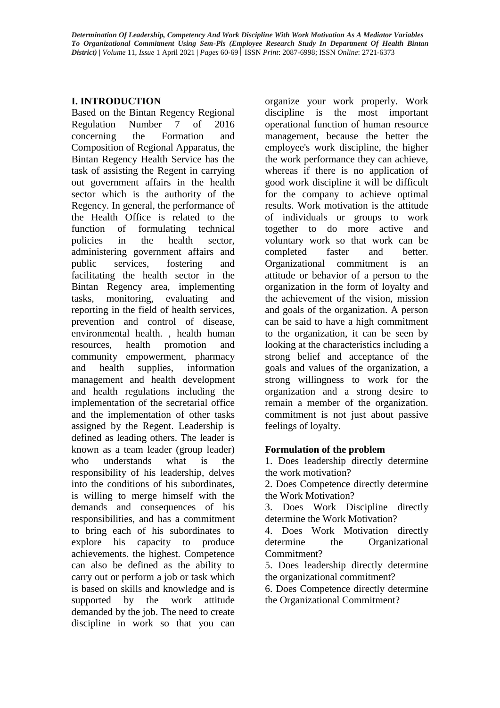# **I. INTRODUCTION**

Based on the Bintan Regency Regional Regulation Number 7 of 2016 concerning the Formation and Composition of Regional Apparatus, the Bintan Regency Health Service has the task of assisting the Regent in carrying out government affairs in the health sector which is the authority of the Regency. In general, the performance of the Health Office is related to the function of formulating technical policies in the health sector, administering government affairs and public services, fostering and facilitating the health sector in the Bintan Regency area, implementing tasks, monitoring, evaluating and reporting in the field of health services, prevention and control of disease, environmental health. , health human resources, health promotion and community empowerment, pharmacy and health supplies, information management and health development and health regulations including the implementation of the secretarial office and the implementation of other tasks assigned by the Regent. Leadership is defined as leading others. The leader is known as a team leader (group leader) who understands what is the responsibility of his leadership, delves into the conditions of his subordinates, is willing to merge himself with the demands and consequences of his responsibilities, and has a commitment to bring each of his subordinates to explore his capacity to produce achievements. the highest. Competence can also be defined as the ability to carry out or perform a job or task which is based on skills and knowledge and is supported by the work attitude demanded by the job. The need to create discipline in work so that you can

organize your work properly. Work discipline is the most important operational function of human resource management, because the better the employee's work discipline, the higher the work performance they can achieve, whereas if there is no application of good work discipline it will be difficult for the company to achieve optimal results. Work motivation is the attitude of individuals or groups to work together to do more active and voluntary work so that work can be completed faster and better. Organizational commitment is an attitude or behavior of a person to the organization in the form of loyalty and the achievement of the vision, mission and goals of the organization. A person can be said to have a high commitment to the organization, it can be seen by looking at the characteristics including a strong belief and acceptance of the goals and values of the organization, a strong willingness to work for the organization and a strong desire to remain a member of the organization. commitment is not just about passive feelings of loyalty.

## **Formulation of the problem**

1. Does leadership directly determine the work motivation?

2. Does Competence directly determine the Work Motivation?

3. Does Work Discipline directly determine the Work Motivation?

4. Does Work Motivation directly determine the Organizational Commitment?

5. Does leadership directly determine the organizational commitment?

6. Does Competence directly determine the Organizational Commitment?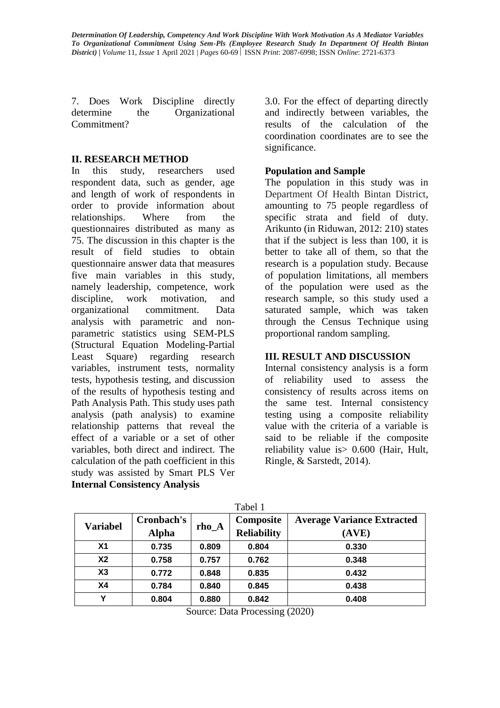7. Does Work Discipline directly determine the Organizational Commitment?

### **II. RESEARCH METHOD**

In this study, researchers used respondent data, such as gender, age and length of work of respondents in order to provide information about relationships. Where from the questionnaires distributed as many as 75. The discussion in this chapter is the result of field studies to obtain questionnaire answer data that measures five main variables in this study, namely leadership, competence, work discipline, work motivation, and organizational commitment. Data analysis with parametric and nonparametric statistics using SEM-PLS (Structural Equation Modeling-Partial Least Square) regarding research variables, instrument tests, normality tests, hypothesis testing, and discussion of the results of hypothesis testing and Path Analysis Path. This study uses path analysis (path analysis) to examine relationship patterns that reveal the effect of a variable or a set of other variables, both direct and indirect. The calculation of the path coefficient in this study was assisted by Smart PLS Ver **Internal Consistency Analysis**

3.0. For the effect of departing directly and indirectly between variables, the results of the calculation of the coordination coordinates are to see the significance.

### **Population and Sample**

The population in this study was in Department Of Health Bintan District, amounting to 75 people regardless of specific strata and field of duty. Arikunto (in Riduwan, 2012: 210) states that if the subject is less than 100, it is better to take all of them, so that the research is a population study. Because of population limitations, all members of the population were used as the research sample, so this study used a saturated sample, which was taken through the Census Technique using proportional random sampling.

### **III. RESULT AND DISCUSSION**

Internal consistency analysis is a form of reliability used to assess the consistency of results across items on the same test. Internal consistency testing using a composite reliability value with the criteria of a variable is said to be reliable if the composite reliability value is> 0.600 (Hair, Hult, Ringle, & Sarstedt, 2014).

| <b>Variabel</b> | Cronbach's<br><b>Alpha</b> | $rho_A$ | Composite<br><b>Reliability</b> | <b>Average Variance Extracted</b><br>(AVE) |
|-----------------|----------------------------|---------|---------------------------------|--------------------------------------------|
| X <sub>1</sub>  | 0.735                      | 0.809   | 0.804                           | 0.330                                      |
| X <sub>2</sub>  | 0.758                      | 0.757   | 0.762                           | 0.348                                      |
| X3              | 0.772                      | 0.848   | 0.835                           | 0.432                                      |
| X4              | 0.784                      | 0.840   | 0.845                           | 0.438                                      |
| v               | 0.804                      | 0.880   | 0.842                           | 0.408                                      |

 $T_{\alpha}$ k $\alpha$ 11

Source: Data Processing (2020)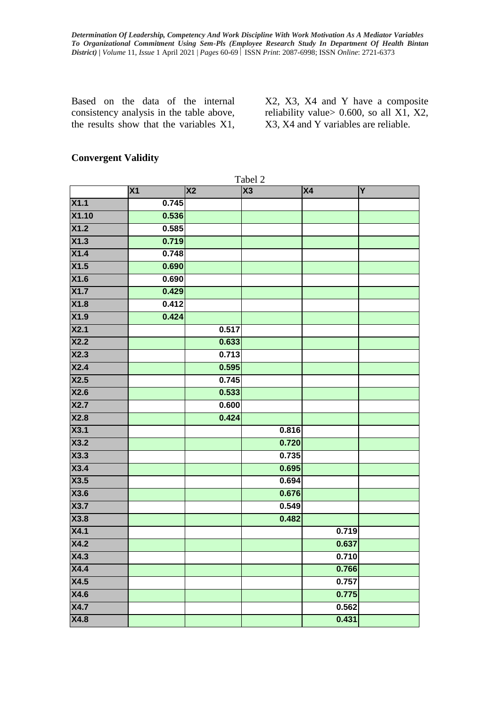Based on the data of the internal consistency analysis in the table above, the results show that the variables X1,

X2, X3, X4 and Y have a composite reliability value> 0.600, so all X1, X2, X3, X4 and Y variables are reliable.

### **Convergent Validity**

|                   | Tabel 2   |                        |       |           |   |  |
|-------------------|-----------|------------------------|-------|-----------|---|--|
|                   | <b>X1</b> | $\overline{\text{X2}}$ | X3    | <b>X4</b> | Y |  |
| X1.1              | 0.745     |                        |       |           |   |  |
| X1.10             | 0.536     |                        |       |           |   |  |
| X1.2              | 0.585     |                        |       |           |   |  |
| $\overline{X1.3}$ | 0.719     |                        |       |           |   |  |
| X1.4              | 0.748     |                        |       |           |   |  |
| X1.5              | 0.690     |                        |       |           |   |  |
| X1.6              | 0.690     |                        |       |           |   |  |
| X1.7              | 0.429     |                        |       |           |   |  |
| X1.8              | 0.412     |                        |       |           |   |  |
| X1.9              | 0.424     |                        |       |           |   |  |
| X2.1              |           | 0.517                  |       |           |   |  |
| X2.2              |           | 0.633                  |       |           |   |  |
| X2.3              |           | 0.713                  |       |           |   |  |
| X2.4              |           | 0.595                  |       |           |   |  |
| X2.5              |           | 0.745                  |       |           |   |  |
| X2.6              |           | 0.533                  |       |           |   |  |
| X2.7              |           | 0.600                  |       |           |   |  |
| X2.8              |           | 0.424                  |       |           |   |  |
| X3.1              |           |                        | 0.816 |           |   |  |
| X3.2              |           |                        | 0.720 |           |   |  |
| X3.3              |           |                        | 0.735 |           |   |  |
| X3.4              |           |                        | 0.695 |           |   |  |
| X3.5              |           |                        | 0.694 |           |   |  |
| X3.6              |           |                        | 0.676 |           |   |  |
| X3.7              |           |                        | 0.549 |           |   |  |
| X3.8              |           |                        | 0.482 |           |   |  |
| X4.1              |           |                        |       | 0.719     |   |  |
| X4.2              |           |                        |       | 0.637     |   |  |
| X4.3              |           |                        |       | 0.710     |   |  |
| X4.4              |           |                        |       | 0.766     |   |  |
| X4.5              |           |                        |       | 0.757     |   |  |
| X4.6              |           |                        |       | 0.775     |   |  |
| X4.7              |           |                        |       | 0.562     |   |  |
| X4.8              |           |                        |       | 0.431     |   |  |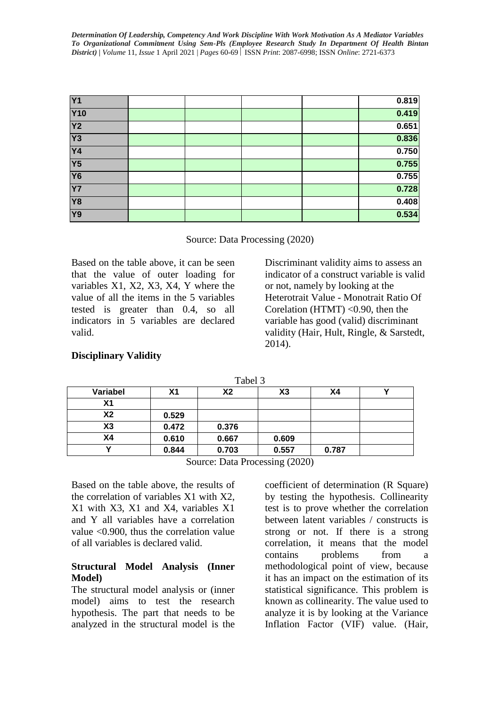| <b>Y1</b>       |  |  | 0.819 |
|-----------------|--|--|-------|
| <b>Y10</b>      |  |  | 0.419 |
| Y <sub>2</sub>  |  |  | 0.651 |
| $\overline{Y3}$ |  |  | 0.836 |
| <b>Y4</b>       |  |  | 0.750 |
| Y5              |  |  | 0.755 |
| <b>Y6</b>       |  |  | 0.755 |
| <b>Y7</b>       |  |  | 0.728 |
| <b>Y8</b>       |  |  | 0.408 |
| Y9              |  |  | 0.534 |

Source: Data Processing (2020)

Based on the table above, it can be seen that the value of outer loading for variables X1, X2, X3, X4, Y where the value of all the items in the 5 variables tested is greater than 0.4, so all indicators in 5 variables are declared valid.

Discriminant validity aims to assess an indicator of a construct variable is valid or not, namely by looking at the Heterotrait Value - Monotrait Ratio Of Corelation (HTMT) <0.90, then the variable has good (valid) discriminant validity (Hair, Hult, Ringle, & Sarstedt, 2014).

|                |       |                | ----- |       |  |
|----------------|-------|----------------|-------|-------|--|
| Variabel       | Χ1    | X <sub>2</sub> | X3    | Χ4    |  |
| Χ1             |       |                |       |       |  |
| X2             | 0.529 |                |       |       |  |
| X <sub>3</sub> | 0.472 | 0.376          |       |       |  |
| Χ4             | 0.610 | 0.667          | 0.609 |       |  |
|                | 0.844 | 0.703          | 0.557 | 0.787 |  |
|                |       |                |       |       |  |

### **Disciplinary Validity**

Source: Data Processing (2020)

Tabel 3

Based on the table above, the results of the correlation of variables X1 with X2, X1 with X3, X1 and X4, variables X1 and Y all variables have a correlation value <0.900, thus the correlation value of all variables is declared valid.

### **Structural Model Analysis (Inner Model)**

The structural model analysis or (inner model) aims to test the research hypothesis. The part that needs to be analyzed in the structural model is the coefficient of determination (R Square) by testing the hypothesis. Collinearity test is to prove whether the correlation between latent variables / constructs is strong or not. If there is a strong correlation, it means that the model contains problems from a methodological point of view, because it has an impact on the estimation of its statistical significance. This problem is known as collinearity. The value used to analyze it is by looking at the Variance Inflation Factor (VIF) value. (Hair,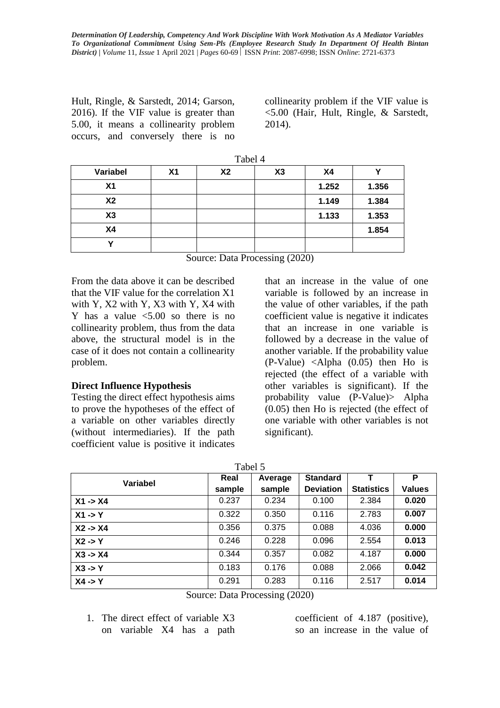Hult, Ringle, & Sarstedt, 2014; Garson, 2016). If the VIF value is greater than 5.00, it means a collinearity problem occurs, and conversely there is no collinearity problem if the VIF value is <5.00 (Hair, Hult, Ringle, & Sarstedt, 2014).

|                | Tabel 4 |           |    |       |       |  |  |
|----------------|---------|-----------|----|-------|-------|--|--|
| Variabel       | X1      | <b>X2</b> | X3 | X4    |       |  |  |
| X <sub>1</sub> |         |           |    | 1.252 | 1.356 |  |  |
| <b>X2</b>      |         |           |    | 1.149 | 1.384 |  |  |
| X3             |         |           |    | 1.133 | 1.353 |  |  |
| X4             |         |           |    |       | 1.854 |  |  |
|                |         |           |    |       |       |  |  |

Source: Data Processing (2020)

From the data above it can be described that the VIF value for the correlation X1 with Y, X2 with Y, X3 with Y, X4 with Y has a value  $\leq 5.00$  so there is no collinearity problem, thus from the data above, the structural model is in the case of it does not contain a collinearity problem.

### **Direct Influence Hypothesis**

Testing the direct effect hypothesis aims to prove the hypotheses of the effect of a variable on other variables directly (without intermediaries). If the path coefficient value is positive it indicates

that an increase in the value of one variable is followed by an increase in the value of other variables, if the path coefficient value is negative it indicates that an increase in one variable is followed by a decrease in the value of another variable. If the probability value (P-Value) <Alpha (0.05) then Ho is rejected (the effect of a variable with other variables is significant). If the probability value (P-Value)> Alpha (0.05) then Ho is rejected (the effect of one variable with other variables is not significant).

| Variabel                                   | Real   | Average | <b>Standard</b>  |                   | P             |  |
|--------------------------------------------|--------|---------|------------------|-------------------|---------------|--|
|                                            | sample | sample  | <b>Deviation</b> | <b>Statistics</b> | <b>Values</b> |  |
| $X1 - > X4$                                | 0.237  | 0.234   | 0.100            | 2.384             | 0.020         |  |
| $X1 - Y$                                   | 0.322  | 0.350   | 0.116            | 2.783             | 0.007         |  |
| $X2 - > X4$                                | 0.356  | 0.375   | 0.088            | 4.036             | 0.000         |  |
| $X2 \rightarrow Y$                         | 0.246  | 0.228   | 0.096            | 2.554             | 0.013         |  |
| $X3 - > X4$                                | 0.344  | 0.357   | 0.082            | 4.187             | 0.000         |  |
| $X3 \rightarrow Y$                         | 0.183  | 0.176   | 0.088            | 2.066             | 0.042         |  |
| $X4 - Y$                                   | 0.291  | 0.283   | 0.116            | 2.517             | 0.014         |  |
| $\alpha$ $\beta$ , $\beta$ $\beta$ $\beta$ |        |         |                  |                   |               |  |

Source: Data Processing (2020)

1. The direct effect of variable X3 on variable X4 has a path coefficient of 4.187 (positive), so an increase in the value of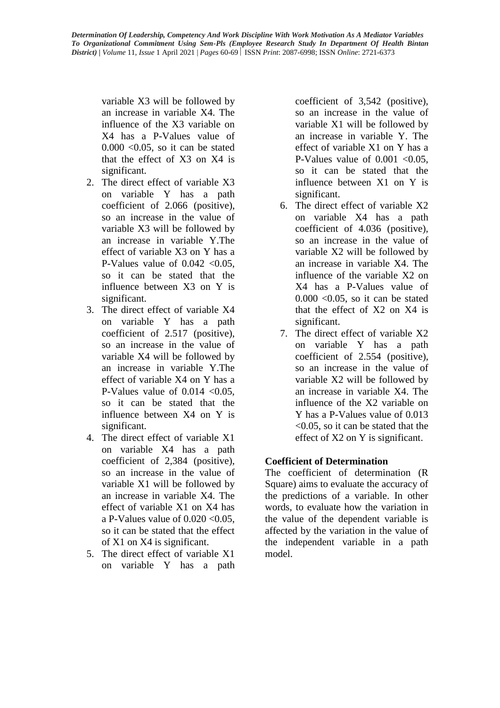variable X3 will be followed by an increase in variable X4. The influence of the X3 variable on X4 has a P-Values value of  $0.000 \leq 0.05$ , so it can be stated that the effect of X3 on X4 is significant.

- 2. The direct effect of variable X3 on variable Y has a path coefficient of 2.066 (positive), so an increase in the value of variable X3 will be followed by an increase in variable Y.The effect of variable X3 on Y has a P-Values value of  $0.042 < 0.05$ . so it can be stated that the influence between X3 on Y is significant.
- 3. The direct effect of variable X4 on variable Y has a path coefficient of 2.517 (positive), so an increase in the value of variable X4 will be followed by an increase in variable Y.The effect of variable X4 on Y has a P-Values value of  $0.014 < 0.05$ , so it can be stated that the influence between X4 on Y is significant.
- 4. The direct effect of variable X1 on variable X4 has a path coefficient of 2,384 (positive), so an increase in the value of variable X1 will be followed by an increase in variable X4. The effect of variable X1 on X4 has a P-Values value of  $0.020 \le 0.05$ . so it can be stated that the effect of X1 on X4 is significant.
- 5. The direct effect of variable X1 on variable Y has a path

coefficient of 3,542 (positive), so an increase in the value of variable X1 will be followed by an increase in variable Y. The effect of variable X1 on Y has a P-Values value of  $0.001$  <  $0.05$ , so it can be stated that the influence between X1 on Y is significant.

- 6. The direct effect of variable X2 on variable X4 has a path coefficient of 4.036 (positive), so an increase in the value of variable X2 will be followed by an increase in variable X4. The influence of the variable X2 on X4 has a P-Values value of  $0.000$  <  $0.05$ , so it can be stated that the effect of X2 on X4 is significant.
- 7. The direct effect of variable X2 on variable Y has a path coefficient of 2.554 (positive), so an increase in the value of variable X2 will be followed by an increase in variable X4. The influence of the X2 variable on Y has a P-Values value of 0.013 <0.05, so it can be stated that the effect of X2 on Y is significant.

## **Coefficient of Determination**

The coefficient of determination (R Square) aims to evaluate the accuracy of the predictions of a variable. In other words, to evaluate how the variation in the value of the dependent variable is affected by the variation in the value of the independent variable in a path model.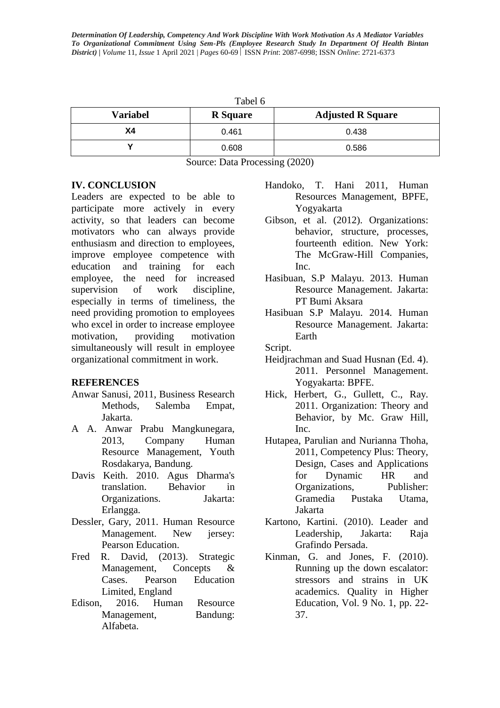| Tabel 6         |                 |                          |  |  |  |
|-----------------|-----------------|--------------------------|--|--|--|
| <b>Variabel</b> | <b>R</b> Square | <b>Adjusted R Square</b> |  |  |  |
| Χ4              | 0.461           | 0.438                    |  |  |  |
|                 | 0.608           | 0.586                    |  |  |  |

Source: Data Processing (2020)

### **IV. CONCLUSION**

Leaders are expected to be able to participate more actively in every activity, so that leaders can become motivators who can always provide enthusiasm and direction to employees, improve employee competence with education and training for each employee, the need for increased supervision of work discipline, especially in terms of timeliness, the need providing promotion to employees who excel in order to increase employee motivation, providing motivation simultaneously will result in employee organizational commitment in work.

### **REFERENCES**

- Anwar Sanusi, 2011, Business Research Methods, Salemba Empat, Jakarta.
- A A. Anwar Prabu Mangkunegara, 2013, Company Human Resource Management, Youth Rosdakarya, Bandung.
- Davis Keith. 2010. Agus Dharma's translation. Behavior in Organizations. Jakarta: Erlangga.
- Dessler, Gary, 2011. Human Resource Management. New iersey: Pearson Education.
- Fred R. David, (2013). Strategic Management, Concepts & Cases. Pearson Education Limited, England
- Edison, 2016. Human Resource Management, Bandung: Alfabeta.
- Handoko, T. Hani 2011, Human Resources Management, BPFE, Yogyakarta
- Gibson, et al. (2012). Organizations: behavior, structure, processes, fourteenth edition. New York: The McGraw-Hill Companies, Inc.
- Hasibuan, S.P Malayu. 2013. Human Resource Management. Jakarta: PT Bumi Aksara
- Hasibuan S.P Malayu. 2014. Human Resource Management. Jakarta: Earth

#### Script.

- Heidjrachman and Suad Husnan (Ed. 4). 2011. Personnel Management. Yogyakarta: BPFE.
- Hick, Herbert, G., Gullett, C., Ray. 2011. Organization: Theory and Behavior, by Mc. Graw Hill, Inc.
- Hutapea, Parulian and Nurianna Thoha, 2011, Competency Plus: Theory, Design, Cases and Applications for Dynamic HR and Organizations, Publisher: Gramedia Pustaka Utama, Jakarta
- Kartono, Kartini. (2010). Leader and Leadership, Jakarta: Raja Grafindo Persada.
- Kinman, G. and Jones, F. (2010). Running up the down escalator: stressors and strains in UK academics. Quality in Higher Education, Vol. 9 No. 1, pp. 22- 37.